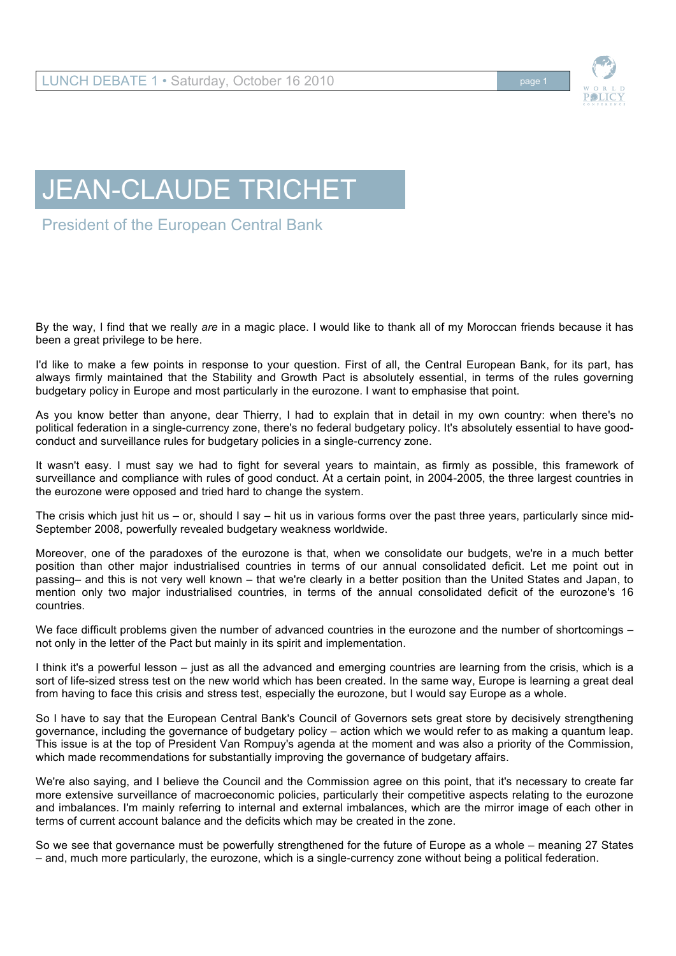

## JEAN-CLAUDE TRICHET

President of the European Central Bank

By the way, I find that we really *are* in a magic place. I would like to thank all of my Moroccan friends because it has been a great privilege to be here.

I'd like to make a few points in response to your question. First of all, the Central European Bank, for its part, has always firmly maintained that the Stability and Growth Pact is absolutely essential, in terms of the rules governing budgetary policy in Europe and most particularly in the eurozone. I want to emphasise that point.

As you know better than anyone, dear Thierry, I had to explain that in detail in my own country: when there's no political federation in a single-currency zone, there's no federal budgetary policy. It's absolutely essential to have goodconduct and surveillance rules for budgetary policies in a single-currency zone.

It wasn't easy. I must say we had to fight for several years to maintain, as firmly as possible, this framework of surveillance and compliance with rules of good conduct. At a certain point, in 2004-2005, the three largest countries in the eurozone were opposed and tried hard to change the system.

The crisis which just hit us – or, should  $\log q$  – hit us in various forms over the past three years, particularly since mid-September 2008, powerfully revealed budgetary weakness worldwide.

Moreover, one of the paradoxes of the eurozone is that, when we consolidate our budgets, we're in a much better position than other major industrialised countries in terms of our annual consolidated deficit. Let me point out in passing– and this is not very well known – that we're clearly in a better position than the United States and Japan, to mention only two major industrialised countries, in terms of the annual consolidated deficit of the eurozone's 16 countries.

We face difficult problems given the number of advanced countries in the eurozone and the number of shortcomings – not only in the letter of the Pact but mainly in its spirit and implementation.

I think it's a powerful lesson – just as all the advanced and emerging countries are learning from the crisis, which is a sort of life-sized stress test on the new world which has been created. In the same way, Europe is learning a great deal from having to face this crisis and stress test, especially the eurozone, but I would say Europe as a whole.

So I have to say that the European Central Bank's Council of Governors sets great store by decisively strengthening governance, including the governance of budgetary policy – action which we would refer to as making a quantum leap. This issue is at the top of President Van Rompuy's agenda at the moment and was also a priority of the Commission, which made recommendations for substantially improving the governance of budgetary affairs.

We're also saying, and I believe the Council and the Commission agree on this point, that it's necessary to create far more extensive surveillance of macroeconomic policies, particularly their competitive aspects relating to the eurozone and imbalances. I'm mainly referring to internal and external imbalances, which are the mirror image of each other in terms of current account balance and the deficits which may be created in the zone.

So we see that governance must be powerfully strengthened for the future of Europe as a whole – meaning 27 States – and, much more particularly, the eurozone, which is a single-currency zone without being a political federation.